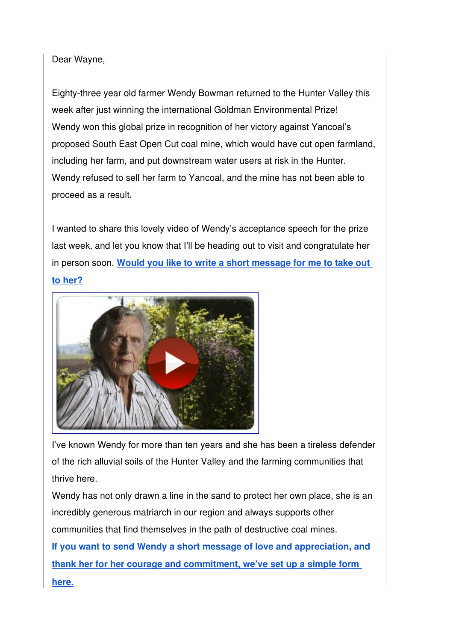## Dear Wayne,

Eighty-three year old farmer Wendy Bowman returned to the Hunter Valley this week after just winning the international Goldman Environmental Prize! Wendy won this global prize in recognition of her victory against Yancoal's proposed South East Open Cut coal mine, which would have cut open farmland, including her farm, and put downstream water users at risk in the Hunter. Wendy refused to sell her farm to Yancoal, and the mine has not been able to proceed as a result.

I wanted to share this lovely video of Wendy's acceptance speech for the prize last week, and let you know that I'll be heading out to visit and congratulate her in person soon. **[Would you like to write a short message for me to take out](http://www.lockthegate.org.au/wendy_goldman_2017?e=abb4de7d84ec7da7d8c4e7f65fbdf3750898a938&utm_source=lockthegate&utm_medium=email&utm_campaign=wendy_speech2&n=1)  [to her?](http://www.lockthegate.org.au/wendy_goldman_2017?e=abb4de7d84ec7da7d8c4e7f65fbdf3750898a938&utm_source=lockthegate&utm_medium=email&utm_campaign=wendy_speech2&n=1)**



I've known Wendy for more than ten years and she has been a tireless defender of the rich alluvial soils of the Hunter Valley and the farming communities that thrive here.

Wendy has not only drawn a line in the sand to protect her own place, she is an incredibly generous matriarch in our region and always supports other communities that find themselves in the path of destructive coal mines.

**[If you want to send Wendy a short message of love and appreciation, and](http://www.lockthegate.org.au/wendy_goldman_2017?e=abb4de7d84ec7da7d8c4e7f65fbdf3750898a938&utm_source=lockthegate&utm_medium=email&utm_campaign=wendy_speech2&n=3)  [thank her for her courage and commitment, we've set up a simple form](http://www.lockthegate.org.au/wendy_goldman_2017?e=abb4de7d84ec7da7d8c4e7f65fbdf3750898a938&utm_source=lockthegate&utm_medium=email&utm_campaign=wendy_speech2&n=3)  [here.](http://www.lockthegate.org.au/wendy_goldman_2017?e=abb4de7d84ec7da7d8c4e7f65fbdf3750898a938&utm_source=lockthegate&utm_medium=email&utm_campaign=wendy_speech2&n=3)**